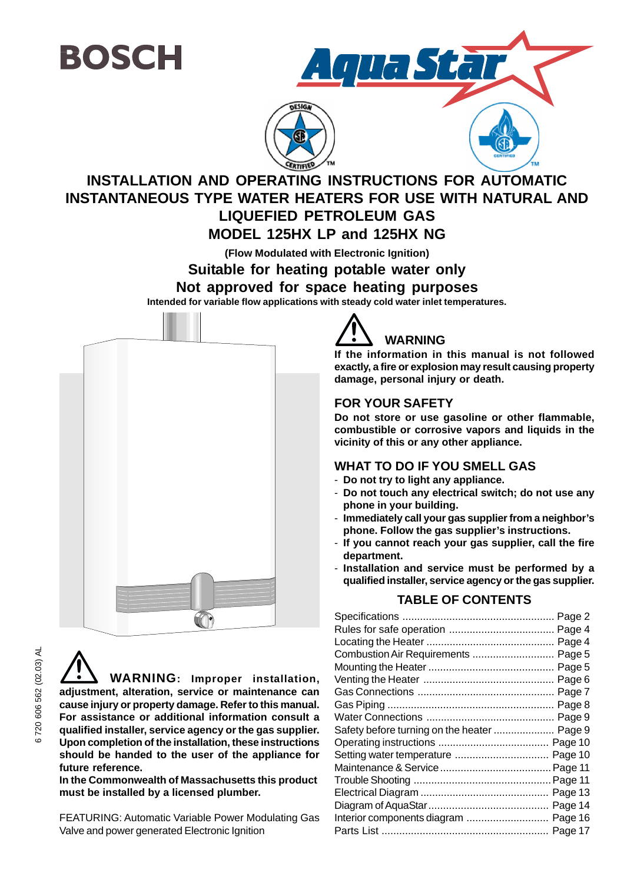



## **INSTALLATION AND OPERATING INSTRUCTIONS FOR AUTOMATIC INSTANTANEOUS TYPE WATER HEATERS FOR USE WITH NATURAL AND LIQUEFIED PETROLEUM GAS MODEL 125HX LP and 125HX NG**

**(Flow Modulated with Electronic Ignition)**

**Suitable for heating potable water only**

**Not approved for space heating purposes**

**Intended for variable flow applications with steady cold water inlet temperatures.**



**WARNING: Improper installation, adjustment, alteration, service or maintenance can cause injury or property damage. Refer to this manual. For assistance or additional information consult a qualified installer, service agency or the gas supplier. Upon completion of the installation, these instructions should be handed to the user of the appliance for future reference.**

**In the Commonwealth of Massachusetts this product must be installed by a licensed plumber.**

FEATURING: Automatic Variable Power Modulating Gas Valve and power generated Electronic Ignition



**If the information in this manual is not followed exactly, a fire or explosion may result causing property damage, personal injury or death.**

### **FOR YOUR SAFETY**

**Do not store or use gasoline or other flammable, combustible or corrosive vapors and liquids in the vicinity of this or any other appliance.**

### **WHAT TO DO IF YOU SMELL GAS**

- **Do not try to light any appliance.**
- **Do not touch any electrical switch; do not use any phone in your building.**
- **Immediately call your gas supplier from a neighbor's phone. Follow the gas supplier's instructions.**
- **If you cannot reach your gas supplier, call the fire department.**
- **Installation and service must be performed by a qualified installer, service agency or the gas supplier.**

### **TABLE OF CONTENTS**

| Combustion Air Requirements  Page 5  |  |
|--------------------------------------|--|
|                                      |  |
|                                      |  |
|                                      |  |
|                                      |  |
|                                      |  |
|                                      |  |
|                                      |  |
| Setting water temperature  Page 10   |  |
|                                      |  |
|                                      |  |
|                                      |  |
|                                      |  |
| Interior components diagram  Page 16 |  |
|                                      |  |
|                                      |  |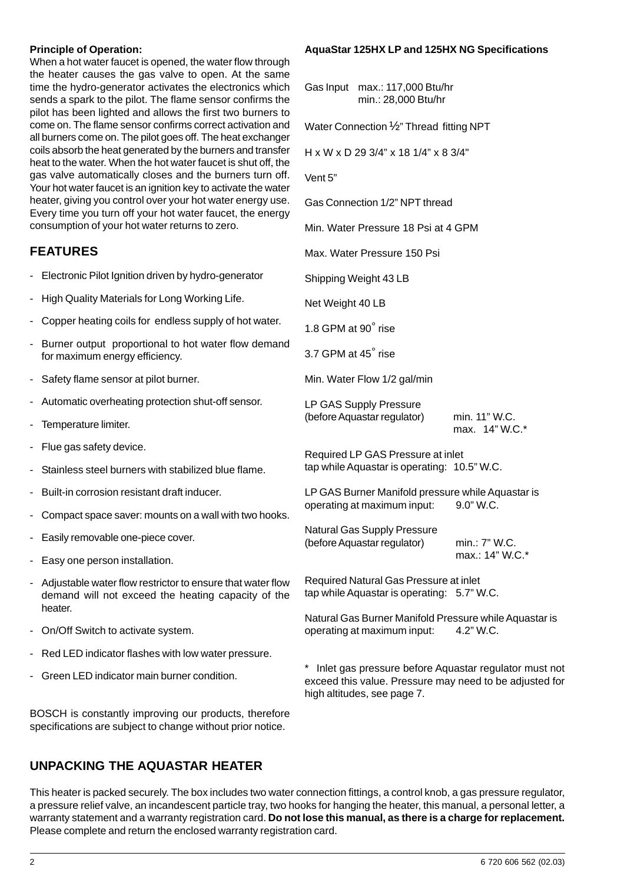#### **Principle of Operation:**

When a hot water faucet is opened, the water flow through the heater causes the gas valve to open. At the same time the hydro-generator activates the electronics which sends a spark to the pilot. The flame sensor confirms the pilot has been lighted and allows the first two burners to come on. The flame sensor confirms correct activation and all burners come on. The pilot goes off. The heat exchanger coils absorb the heat generated by the burners and transfer heat to the water. When the hot water faucet is shut off, the gas valve automatically closes and the burners turn off. Your hot water faucet is an ignition key to activate the water heater, giving you control over your hot water energy use. Every time you turn off your hot water faucet, the energy consumption of your hot water returns to zero.

### **FEATURES**

- Electronic Pilot Ignition driven by hydro-generator
- High Quality Materials for Long Working Life.
- Copper heating coils for endless supply of hot water.
- Burner output proportional to hot water flow demand for maximum energy efficiency.
- Safety flame sensor at pilot burner.
- Automatic overheating protection shut-off sensor.
- Temperature limiter.
- Flue gas safety device.
- Stainless steel burners with stabilized blue flame.
- Built-in corrosion resistant draft inducer.
- Compact space saver: mounts on a wall with two hooks.
- Easily removable one-piece cover.
- Easy one person installation.
- Adjustable water flow restrictor to ensure that water flow demand will not exceed the heating capacity of the heater.
- On/Off Switch to activate system.
- Red LED indicator flashes with low water pressure.
- Green LED indicator main burner condition.

BOSCH is constantly improving our products, therefore specifications are subject to change without prior notice.

#### **AquaStar 125HX LP and 125HX NG Specifications**

Gas Input max.: 117,000 Btu/hr min.: 28,000 Btu/hr

Water Connection ½" Thread fitting NPT

H x W x D 29 3/4" x 18 1/4" x 8 3/4"

Vent 5"

Gas Connection 1/2" NPT thread

Min. Water Pressure 18 Psi at 4 GPM

Max. Water Pressure 150 Psi

Shipping Weight 43 LB

Net Weight 40 LB

1.8 GPM at 90° rise

3.7 GPM at 45° rise

Min. Water Flow 1/2 gal/min

LP GAS Supply Pressure (before Aquastar regulator) min. 11" W.C.

max. 14" W.C.\*

Required LP GAS Pressure at inlet tap while Aquastar is operating: 10.5" W.C.

LP GAS Burner Manifold pressure while Aquastar is operating at maximum input: 9.0" W.C.

Natural Gas Supply Pressure (before Aquastar regulator) min.: 7" W.C. max.: 14" W.C.\*

Required Natural Gas Pressure at inlet tap while Aquastar is operating: 5.7" W.C.

Natural Gas Burner Manifold Pressure while Aquastar is operating at maximum input: 4.2" W.C.

\* Inlet gas pressure before Aquastar regulator must not exceed this value. Pressure may need to be adjusted for high altitudes, see page 7.

### **UNPACKING THE AQUASTAR HEATER**

This heater is packed securely. The box includes two water connection fittings, a control knob, a gas pressure regulator, a pressure relief valve, an incandescent particle tray, two hooks for hanging the heater, this manual, a personal letter, a warranty statement and a warranty registration card. **Do not lose this manual, as there is a charge for replacement.** Please complete and return the enclosed warranty registration card.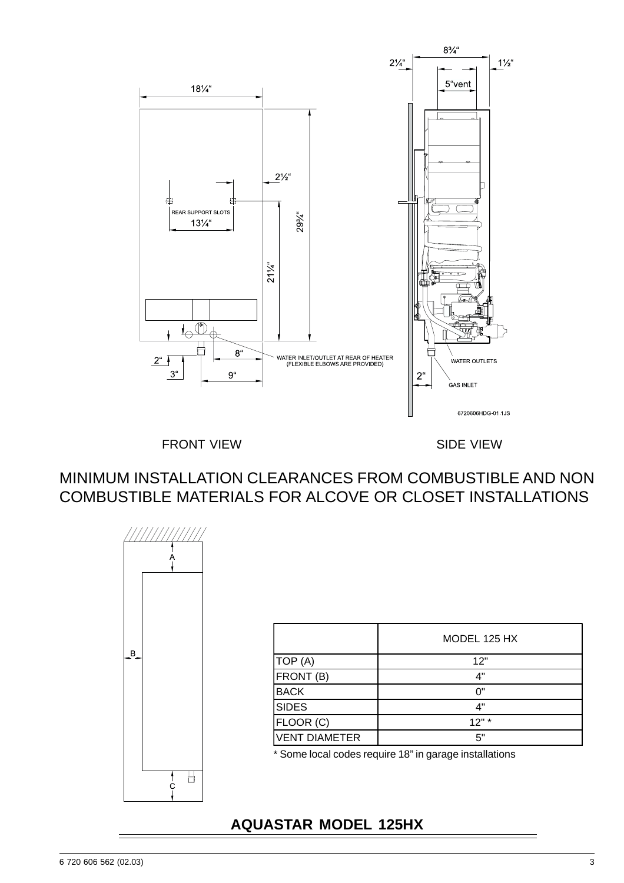

FRONT VIEW **SIDE VIEW** 

MINIMUM INSTALLATION CLEARANCES FROM COMBUSTIBLE AND NON COMBUSTIBLE MATERIALS FOR ALCOVE OR CLOSET INSTALLATIONS



|                      | MODEL 125 HX |
|----------------------|--------------|
| TOP (A)              | 12"          |
| FRONT (B)            | 4"           |
| <b>BACK</b>          | ባ"           |
| <b>SIDES</b>         | 4"           |
| FLOOR (C)            | 12"          |
| <b>VENT DIAMETER</b> | 5"           |

\* Some local codes require 18" in garage installations

## **AQUASTAR MODEL 125HX**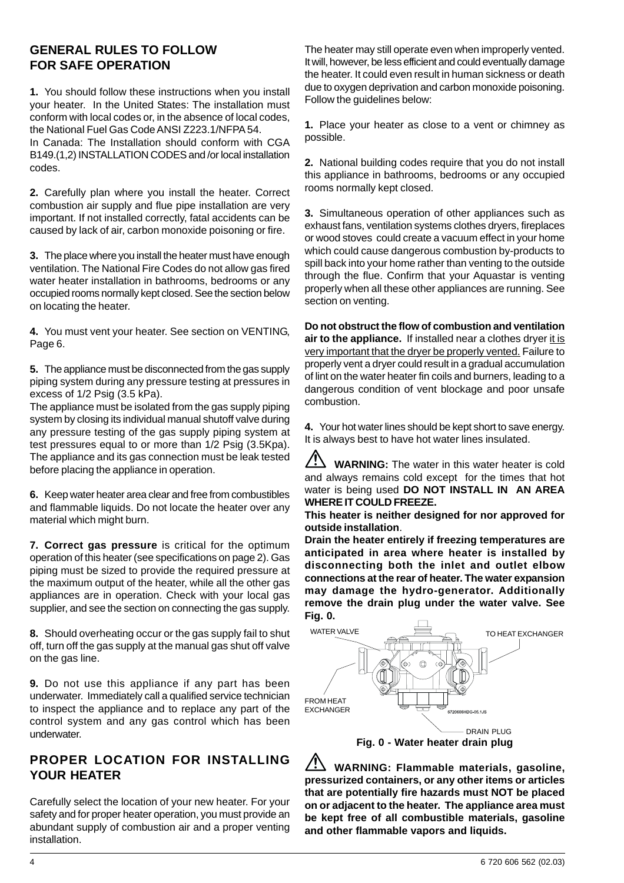### **GENERAL RULES TO FOLLOW FOR SAFE OPERATION**

**1.** You should follow these instructions when you install your heater. In the United States: The installation must conform with local codes or, in the absence of local codes, the National Fuel Gas Code ANSI Z223.1/NFPA 54. In Canada: The Installation should conform with CGA B149.(1,2) INSTALLATION CODES and /or local installation codes.

**2.** Carefully plan where you install the heater. Correct combustion air supply and flue pipe installation are very important. If not installed correctly, fatal accidents can be caused by lack of air, carbon monoxide poisoning or fire.

**3.** The place where you install the heater must have enough ventilation. The National Fire Codes do not allow gas fired water heater installation in bathrooms, bedrooms or any occupied rooms normally kept closed. See the section below on locating the heater.

**4.** You must vent your heater. See section on VENTING, Page 6.

**5.** The appliance must be disconnected from the gas supply piping system during any pressure testing at pressures in excess of 1/2 Psig (3.5 kPa).

The appliance must be isolated from the gas supply piping system by closing its individual manual shutoff valve during any pressure testing of the gas supply piping system at test pressures equal to or more than 1/2 Psig (3.5Kpa). The appliance and its gas connection must be leak tested before placing the appliance in operation.

**6.** Keep water heater area clear and free from combustibles and flammable liquids. Do not locate the heater over any material which might burn.

**7. Correct gas pressure** is critical for the optimum operation of this heater (see specifications on page 2). Gas piping must be sized to provide the required pressure at the maximum output of the heater, while all the other gas appliances are in operation. Check with your local gas supplier, and see the section on connecting the gas supply.

**8.** Should overheating occur or the gas supply fail to shut off, turn off the gas supply at the manual gas shut off valve on the gas line.

**9.** Do not use this appliance if any part has been underwater. Immediately call a qualified service technician to inspect the appliance and to replace any part of the control system and any gas control which has been underwater.

### **PROPER LOCATION FOR INSTALLING YOUR HEATER**

Carefully select the location of your new heater. For your safety and for proper heater operation, you must provide an abundant supply of combustion air and a proper venting installation.

The heater may still operate even when improperly vented. It will, however, be less efficient and could eventually damage the heater. It could even result in human sickness or death due to oxygen deprivation and carbon monoxide poisoning. Follow the guidelines below:

**1.** Place your heater as close to a vent or chimney as possible.

**2.** National building codes require that you do not install this appliance in bathrooms, bedrooms or any occupied rooms normally kept closed.

**3.** Simultaneous operation of other appliances such as exhaust fans, ventilation systems clothes dryers, fireplaces or wood stoves could create a vacuum effect in your home which could cause dangerous combustion by-products to spill back into your home rather than venting to the outside through the flue. Confirm that your Aquastar is venting properly when all these other appliances are running. See section on venting.

**Do not obstruct the flow of combustion and ventilation air to the appliance.** If installed near a clothes dryer it is very important that the dryer be properly vented. Failure to properly vent a dryer could result in a gradual accumulation of lint on the water heater fin coils and burners, leading to a dangerous condition of vent blockage and poor unsafe combustion.

**4.** Your hot water lines should be kept short to save energy. It is always best to have hot water lines insulated.

 $\bigwedge$ **WARNING:** The water in this water heater is cold and always remains cold except for the times that hot water is being used **DO NOT INSTALL IN AN AREA WHERE IT COULD FREEZE.**

**This heater is neither designed for nor approved for outside installation**.

**Drain the heater entirely if freezing temperatures are anticipated in area where heater is installed by disconnecting both the inlet and outlet elbow connections at the rear of heater. The water expansion may damage the hydro-generator. Additionally remove the drain plug under the water valve. See Fig. 0.**



**WARNING: Flammable materials, gasoline, pressurized containers, or any other items or articles that are potentially fire hazards must NOT be placed on or adjacent to the heater. The appliance area must be kept free of all combustible materials, gasoline and other flammable vapors and liquids.**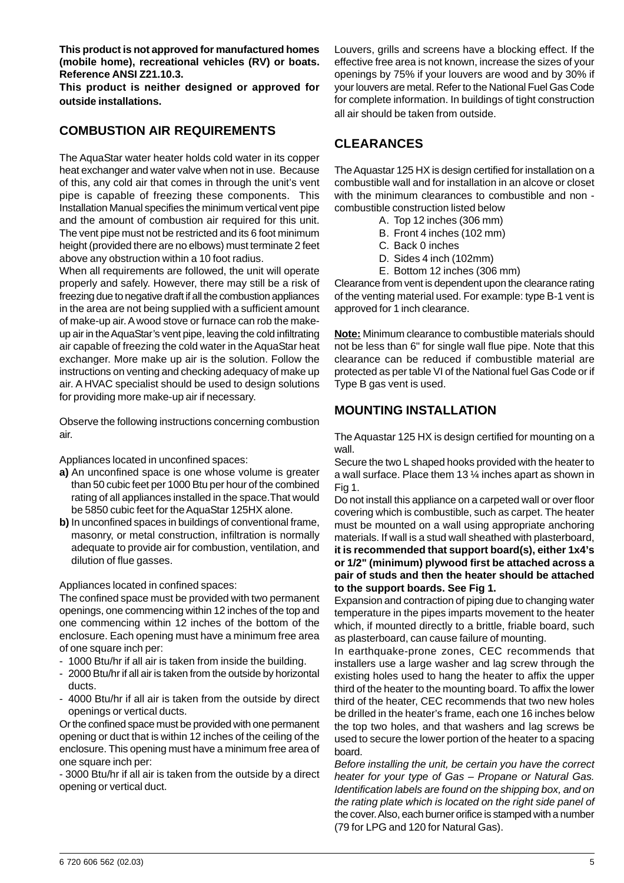**This product is not approved for manufactured homes (mobile home), recreational vehicles (RV) or boats. Reference ANSI Z21.10.3.**

**This product is neither designed or approved for outside installations.**

### **COMBUSTION AIR REQUIREMENTS**

The AquaStar water heater holds cold water in its copper heat exchanger and water valve when not in use. Because of this, any cold air that comes in through the unit's vent pipe is capable of freezing these components. This Installation Manual specifies the minimum vertical vent pipe and the amount of combustion air required for this unit. The vent pipe must not be restricted and its 6 foot minimum height (provided there are no elbows) must terminate 2 feet above any obstruction within a 10 foot radius.

When all requirements are followed, the unit will operate properly and safely. However, there may still be a risk of freezing due to negative draft if all the combustion appliances in the area are not being supplied with a sufficient amount of make-up air. A wood stove or furnace can rob the makeup air in the AquaStar's vent pipe, leaving the cold infiltrating air capable of freezing the cold water in the AquaStar heat exchanger. More make up air is the solution. Follow the instructions on venting and checking adequacy of make up air. A HVAC specialist should be used to design solutions for providing more make-up air if necessary.

Observe the following instructions concerning combustion air.

Appliances located in unconfined spaces:

- **a)** An unconfined space is one whose volume is greater than 50 cubic feet per 1000 Btu per hour of the combined rating of all appliances installed in the space.That would be 5850 cubic feet for the AquaStar 125HX alone.
- **b)** In unconfined spaces in buildings of conventional frame, masonry, or metal construction, infiltration is normally adequate to provide air for combustion, ventilation, and dilution of flue gasses.

Appliances located in confined spaces:

The confined space must be provided with two permanent openings, one commencing within 12 inches of the top and one commencing within 12 inches of the bottom of the enclosure. Each opening must have a minimum free area of one square inch per:

- 1000 Btu/hr if all air is taken from inside the building.
- 2000 Btu/hr if all air is taken from the outside by horizontal ducts.
- 4000 Btu/hr if all air is taken from the outside by direct openings or vertical ducts.

Or the confined space must be provided with one permanent opening or duct that is within 12 inches of the ceiling of the enclosure. This opening must have a minimum free area of one square inch per:

- 3000 Btu/hr if all air is taken from the outside by a direct opening or vertical duct.

Louvers, grills and screens have a blocking effect. If the effective free area is not known, increase the sizes of your openings by 75% if your louvers are wood and by 30% if your louvers are metal. Refer to the National Fuel Gas Code for complete information. In buildings of tight construction all air should be taken from outside.

### **CLEARANCES**

The Aquastar 125 HX is design certified for installation on a combustible wall and for installation in an alcove or closet with the minimum clearances to combustible and non combustible construction listed below

- A. Top 12 inches (306 mm)
- B. Front 4 inches (102 mm)
- C. Back 0 inches
- D. Sides 4 inch (102mm)
- E. Bottom 12 inches (306 mm)

Clearance from vent is dependent upon the clearance rating of the venting material used. For example: type B-1 vent is approved for 1 inch clearance.

**Note:** Minimum clearance to combustible materials should not be less than 6" for single wall flue pipe. Note that this clearance can be reduced if combustible material are protected as per table VI of the National fuel Gas Code or if Type B gas vent is used.

### **MOUNTING INSTALLATION**

The Aquastar 125 HX is design certified for mounting on a wall.

Secure the two L shaped hooks provided with the heater to a wall surface. Place them 13 ¼ inches apart as shown in Fig 1.

Do not install this appliance on a carpeted wall or over floor covering which is combustible, such as carpet. The heater must be mounted on a wall using appropriate anchoring materials. If wall is a stud wall sheathed with plasterboard, **it is recommended that support board(s), either 1x4's or 1/2" (minimum) plywood first be attached across a pair of studs and then the heater should be attached to the support boards. See Fig 1.**

Expansion and contraction of piping due to changing water temperature in the pipes imparts movement to the heater which, if mounted directly to a brittle, friable board, such as plasterboard, can cause failure of mounting.

In earthquake-prone zones, CEC recommends that installers use a large washer and lag screw through the existing holes used to hang the heater to affix the upper third of the heater to the mounting board. To affix the lower third of the heater, CEC recommends that two new holes be drilled in the heater's frame, each one 16 inches below the top two holes, and that washers and lag screws be used to secure the lower portion of the heater to a spacing board.

*Before installing the unit, be certain you have the correct heater for your type of Gas – Propane or Natural Gas. Identification labels are found on the shipping box, and on the rating plate which is located on the right side panel of* the cover. Also, each burner orifice is stamped with a number (79 for LPG and 120 for Natural Gas).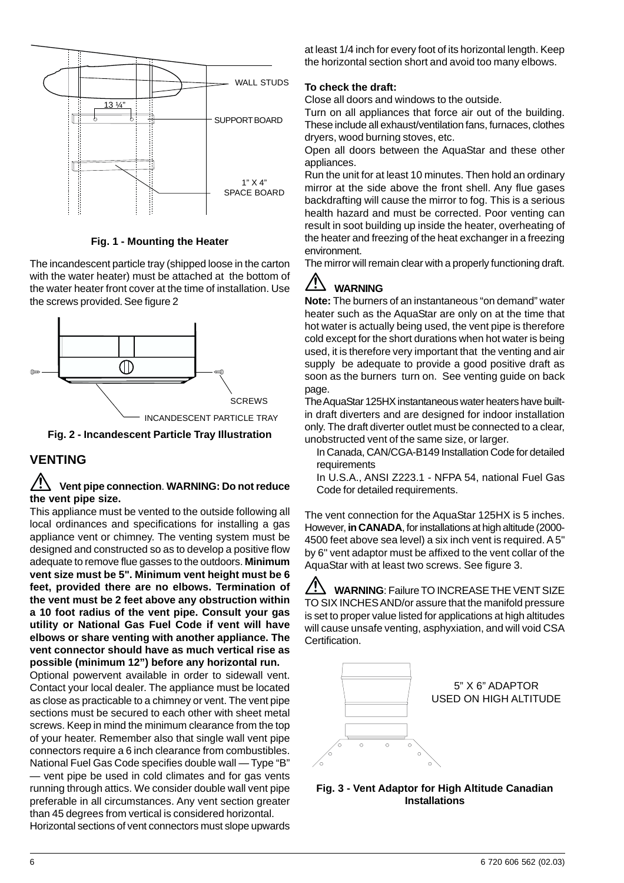

**Fig. 1 - Mounting the Heater**

The incandescent particle tray (shipped loose in the carton with the water heater) must be attached at the bottom of the water heater front cover at the time of installation. Use the screws provided. See figure 2



**Fig. 2 - Incandescent Particle Tray Illustration**

### **VENTING**

### **Vent pipe connection**. **WARNING: Do not reduce the vent pipe size.**

This appliance must be vented to the outside following all local ordinances and specifications for installing a gas appliance vent or chimney. The venting system must be designed and constructed so as to develop a positive flow adequate to remove flue gasses to the outdoors. **Minimum vent size must be 5". Minimum vent height must be 6 feet, provided there are no elbows. Termination of the vent must be 2 feet above any obstruction within a 10 foot radius of the vent pipe. Consult your gas utility or National Gas Fuel Code if vent will have elbows or share venting with another appliance. The vent connector should have as much vertical rise as possible (minimum 12") before any horizontal run.**

Optional powervent available in order to sidewall vent. Contact your local dealer. The appliance must be located as close as practicable to a chimney or vent. The vent pipe sections must be secured to each other with sheet metal screws. Keep in mind the minimum clearance from the top of your heater. Remember also that single wall vent pipe connectors require a 6 inch clearance from combustibles. National Fuel Gas Code specifies double wall — Type "B" — vent pipe be used in cold climates and for gas vents running through attics. We consider double wall vent pipe preferable in all circumstances. Any vent section greater than 45 degrees from vertical is considered horizontal. Horizontal sections of vent connectors must slope upwards

at least 1/4 inch for every foot of its horizontal length. Keep the horizontal section short and avoid too many elbows.

#### **To check the draft:**

Close all doors and windows to the outside.

Turn on all appliances that force air out of the building. These include all exhaust/ventilation fans, furnaces, clothes dryers, wood burning stoves, etc.

Open all doors between the AquaStar and these other appliances.

Run the unit for at least 10 minutes. Then hold an ordinary mirror at the side above the front shell. Any flue gases backdrafting will cause the mirror to fog. This is a serious health hazard and must be corrected. Poor venting can result in soot building up inside the heater, overheating of the heater and freezing of the heat exchanger in a freezing environment.

The mirror will remain clear with a properly functioning draft.

#### /<u>|</u> **WARNING**

**Note:** The burners of an instantaneous "on demand" water heater such as the AquaStar are only on at the time that hot water is actually being used, the vent pipe is therefore cold except for the short durations when hot water is being used, it is therefore very important that the venting and air supply be adequate to provide a good positive draft as soon as the burners turn on. See venting guide on back page.

The AquaStar 125HX instantaneous water heaters have builtin draft diverters and are designed for indoor installation only. The draft diverter outlet must be connected to a clear, unobstructed vent of the same size, or larger.

In Canada, CAN/CGA-B149 Installation Code for detailed requirements

In U.S.A., ANSI Z223.1 - NFPA 54, national Fuel Gas Code for detailed requirements.

The vent connection for the AquaStar 125HX is 5 inches. However, **in CANADA**, for installations at high altitude (2000- 4500 feet above sea level) a six inch vent is required. A 5" by 6" vent adaptor must be affixed to the vent collar of the AquaStar with at least two screws. See figure 3.

**WARNING**: Failure TO INCREASE THE VENT SIZE TO SIX INCHES AND/or assure that the manifold pressure is set to proper value listed for applications at high altitudes will cause unsafe venting, asphyxiation, and will void CSA Certification.



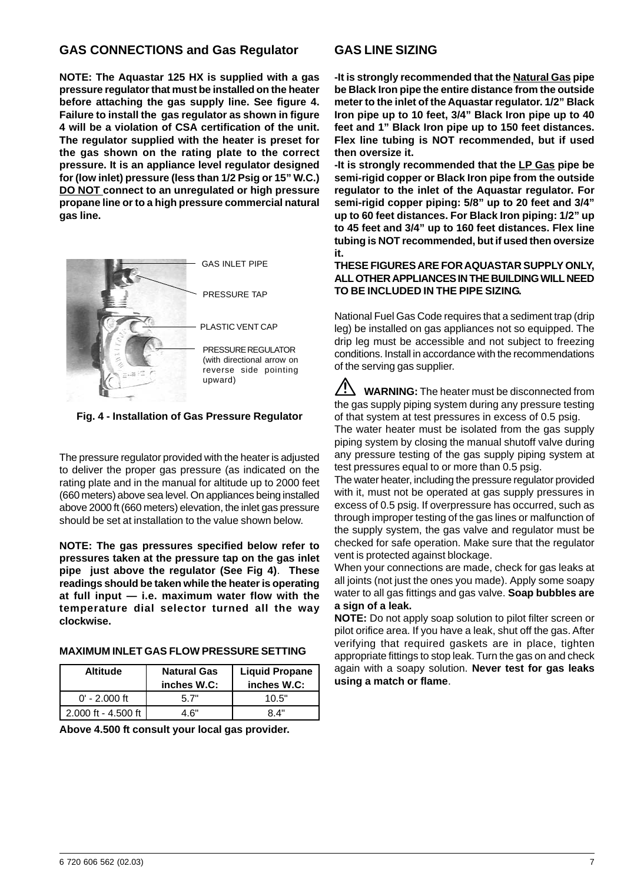### **GAS CONNECTIONS and Gas Regulator**

**NOTE: The Aquastar 125 HX is supplied with a gas pressure regulator that must be installed on the heater before attaching the gas supply line. See figure 4. Failure to install the gas regulator as shown in figure 4 will be a violation of CSA certification of the unit. The regulator supplied with the heater is preset for the gas shown on the rating plate to the correct pressure. It is an appliance level regulator designed for (low inlet) pressure (less than 1/2 Psig or 15" W.C.) DO NOT connect to an unregulated or high pressure propane line or to a high pressure commercial natural gas line.**



**Fig. 4 - Installation of Gas Pressure Regulator**

The pressure regulator provided with the heater is adjusted to deliver the proper gas pressure (as indicated on the rating plate and in the manual for altitude up to 2000 feet (660 meters) above sea level. On appliances being installed above 2000 ft (660 meters) elevation, the inlet gas pressure should be set at installation to the value shown below.

**NOTE: The gas pressures specified below refer to pressures taken at the pressure tap on the gas inlet pipe just above the regulator (See Fig 4)**. **These readings should be taken while the heater is operating at full input — i.e. maximum water flow with the temperature dial selector turned all the way clockwise.**

#### **MAXIMUM INLET GAS FLOW PRESSURE SETTING**

| <b>Altitude</b>       | <b>Natural Gas</b><br>inches W.C: | <b>Liquid Propane</b><br>inches W.C: |
|-----------------------|-----------------------------------|--------------------------------------|
| $0'$ - 2.000 ft       | 5 7"                              | 10.5"                                |
| $2.000$ ft - 4.500 ft | 4.6"                              | 84"                                  |

**Above 4.500 ft consult your local gas provider.**

### **GAS LINE SIZING**

**-It is strongly recommended that the Natural Gas pipe be Black Iron pipe the entire distance from the outside meter to the inlet of the Aquastar regulator. 1/2" Black Iron pipe up to 10 feet, 3/4" Black Iron pipe up to 40 feet and 1" Black Iron pipe up to 150 feet distances. Flex line tubing is NOT recommended, but if used then oversize it.**

**-It is strongly recommended that the LP Gas pipe be semi-rigid copper or Black Iron pipe from the outside regulator to the inlet of the Aquastar regulator. For semi-rigid copper piping: 5/8" up to 20 feet and 3/4" up to 60 feet distances. For Black Iron piping: 1/2" up to 45 feet and 3/4" up to 160 feet distances. Flex line tubing is NOT recommended, but if used then oversize it.**

#### **THESE FIGURES ARE FOR AQUASTAR SUPPLY ONLY, ALL OTHER APPLIANCES IN THE BUILDING WILL NEED TO BE INCLUDED IN THE PIPE SIZING.**

National Fuel Gas Code requires that a sediment trap (drip leg) be installed on gas appliances not so equipped. The drip leg must be accessible and not subject to freezing conditions. Install in accordance with the recommendations of the serving gas supplier.

**WARNING:** The heater must be disconnected from the gas supply piping system during any pressure testing of that system at test pressures in excess of 0.5 psig.

The water heater must be isolated from the gas supply piping system by closing the manual shutoff valve during any pressure testing of the gas supply piping system at test pressures equal to or more than 0.5 psig.

The water heater, including the pressure regulator provided with it, must not be operated at gas supply pressures in excess of 0.5 psig. If overpressure has occurred, such as through improper testing of the gas lines or malfunction of the supply system, the gas valve and regulator must be checked for safe operation. Make sure that the regulator vent is protected against blockage.

When your connections are made, check for gas leaks at all joints (not just the ones you made). Apply some soapy water to all gas fittings and gas valve. **Soap bubbles are a sign of a leak.**

**NOTE:** Do not apply soap solution to pilot filter screen or pilot orifice area. If you have a leak, shut off the gas. After verifying that required gaskets are in place, tighten appropriate fittings to stop leak. Turn the gas on and check again with a soapy solution. **Never test for gas leaks using a match or flame**.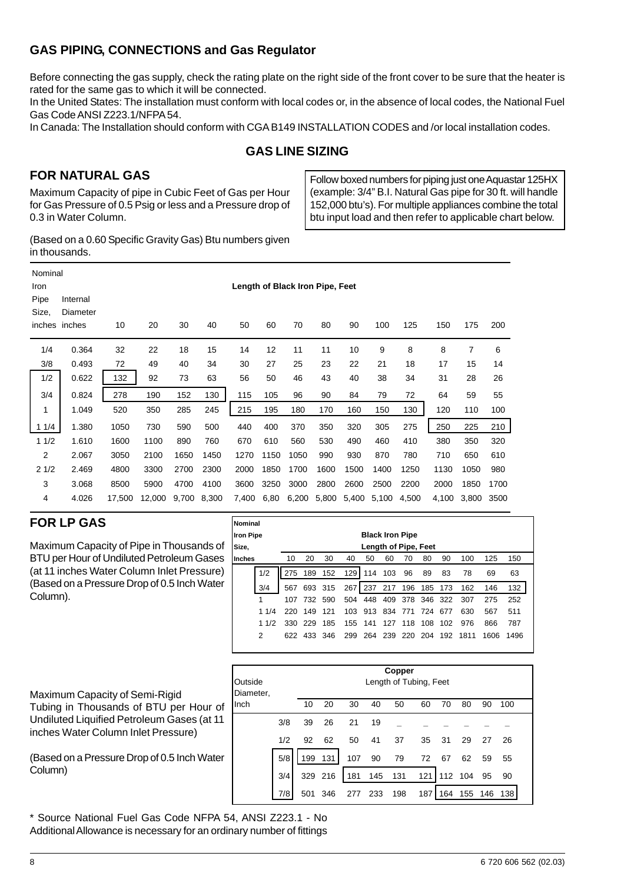## GAS PIPING, CONNECTIONS and Gas Regulator

Before connecting the gas supply, check the rating plate on the right side of the front cover to be sure that the heater is rated for the same gas to which it will be connected.

In the United States: The installation must conform with local codes or, in the absence of local codes, the National Fuel Gas Code ANSI Z223.1/NFPA 54.

In Canada: The Installation should conform with CGA B149 INSTALLATION CODES and /or local installation codes.

### GAS LINE SIZING

### FOR NATURAL GAS

Maximum Capacity of pipe in Cubic Feet of Gas per Hour for Gas Pressure of 0.5 Psig or less and a Pressure drop of 0.3 in Water Column.

Follow boxed numbers for piping just one Aquastar 125HX (example: 3/4" B.I. Natural Gas pipe for 30 ft. will handle 152,000 btu's). For multiple appliances combine the total btu input load and then refer to applicable chart below.

(Based on a 0.60 Specific Gravity Gas) Btu numbers given in thousands.

| Nominal<br>Iron<br>Pipe<br>Size,<br>inches | Internal<br>Diameter<br>inches | 10     | 20     | 30    | 40    | 50    | 60   | 70    | Length of Black Iron Pipe, Feet<br>80 | 90    | 100   | 125   | 150   | 175   | 200  |
|--------------------------------------------|--------------------------------|--------|--------|-------|-------|-------|------|-------|---------------------------------------|-------|-------|-------|-------|-------|------|
| 1/4                                        | 0.364                          | 32     | 22     | 18    | 15    | 14    | 12   | 11    | 11                                    | 10    | 9     | 8     | 8     | 7     | 6    |
| 3/8                                        | 0.493                          | 72     | 49     | 40    | 34    | 30    | 27   | 25    | 23                                    | 22    | 21    | 18    | 17    | 15    | 14   |
| 1/2                                        | 0.622                          | 132    | 92     | 73    | 63    | 56    | 50   | 46    | 43                                    | 40    | 38    | 34    | 31    | 28    | 26   |
| 3/4                                        | 0.824                          | 278    | 190    | 152   | 130   | 115   | 105  | 96    | 90                                    | 84    | 79    | 72    | 64    | 59    | 55   |
| 1                                          | 1.049                          | 520    | 350    | 285   | 245   | 215   | 195  | 180   | 170                                   | 160   | 150   | 130   | 120   | 110   | 100  |
| 11/4                                       | 1.380                          | 1050   | 730    | 590   | 500   | 440   | 400  | 370   | 350                                   | 320   | 305   | 275   | 250   | 225   | 210  |
| 11/2                                       | 1.610                          | 1600   | 1100   | 890   | 760   | 670   | 610  | 560   | 530                                   | 490   | 460   | 410   | 380   | 350   | 320  |
| 2                                          | 2.067                          | 3050   | 2100   | 1650  | 1450  | 1270  | 1150 | 1050  | 990                                   | 930   | 870   | 780   | 710   | 650   | 610  |
| 21/2                                       | 2.469                          | 4800   | 3300   | 2700  | 2300  | 2000  | 1850 | 1700  | 1600                                  | 1500  | 1400  | 1250  | 1130  | 1050  | 980  |
| 3                                          | 3.068                          | 8500   | 5900   | 4700  | 4100  | 3600  | 3250 | 3000  | 2800                                  | 2600  | 2500  | 2200  | 2000  | 1850  | 1700 |
| 4                                          | 4.026                          | 17,500 | 12,000 | 9,700 | 8,300 | 7,400 | 6,80 | 6,200 | 5,800                                 | 5,400 | 5,100 | 4,500 | 4,100 | 3,800 | 3500 |

### FOR LP GAS

Maximum Capacity of Pipe in Thousands of BTU per Hour of Undiluted Petroleum Gases (at 11 inches Water Column Inlet Pressure) (Based on a Pressure Drop of 0.5 Inch Water Column).

Maximum Capacity of Semi-Rigid Tubing in Thousands of BTU per Hour of Undiluted Liquified Petroleum Gases (at 11 inches Water Column Inlet Pressure)

(Based on a Pressure Drop of 0.5 Inch Water Column)



\* Source National Fuel Gas Code NFPA 54, ANSI Z223.1 - No Additional Allowance is necessary for an ordinary number of fittings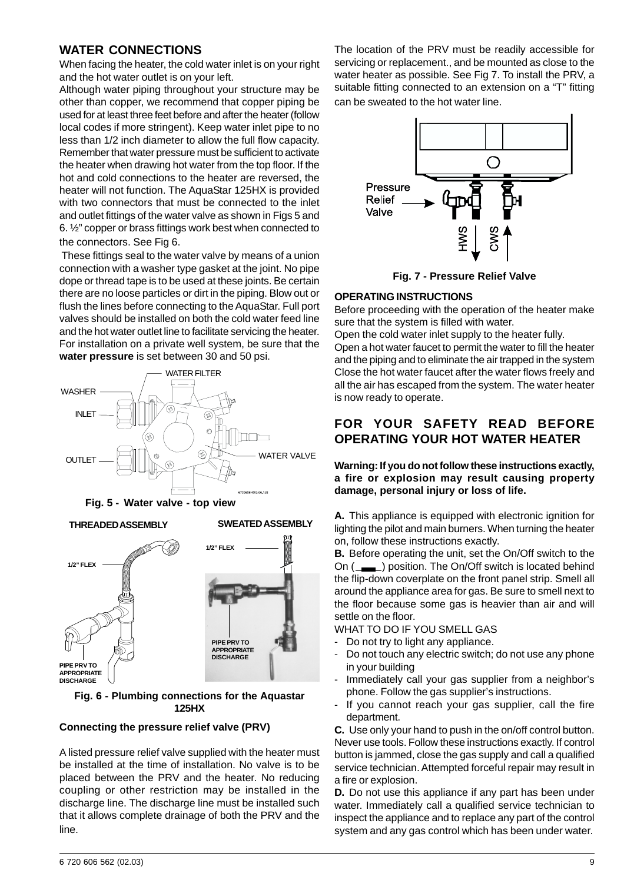### **WATER CONNECTIONS**

When facing the heater, the cold water inlet is on your right and the hot water outlet is on your left.

Although water piping throughout your structure may be other than copper, we recommend that copper piping be used for at least three feet before and after the heater (follow local codes if more stringent). Keep water inlet pipe to no less than 1/2 inch diameter to allow the full flow capacity. Remember that water pressure must be sufficient to activate the heater when drawing hot water from the top floor. If the hot and cold connections to the heater are reversed, the heater will not function. The AquaStar 125HX is provided with two connectors that must be connected to the inlet and outlet fittings of the water valve as shown in Figs 5 and 6. ½" copper or brass fittings work best when connected to the connectors. See Fig 6.

 These fittings seal to the water valve by means of a union connection with a washer type gasket at the joint. No pipe dope or thread tape is to be used at these joints. Be certain there are no loose particles or dirt in the piping. Blow out or flush the lines before connecting to the AquaStar. Full port valves should be installed on both the cold water feed line and the hot water outlet line to facilitate servicing the heater. For installation on a private well system, be sure that the **water pressure** is set between 30 and 50 psi.





**Fig. 6 - Plumbing connections for the Aquastar 125HX**

### **Connecting the pressure relief valve (PRV)**

A listed pressure relief valve supplied with the heater must be installed at the time of installation. No valve is to be placed between the PRV and the heater. No reducing coupling or other restriction may be installed in the discharge line. The discharge line must be installed such that it allows complete drainage of both the PRV and the line.

The location of the PRV must be readily accessible for servicing or replacement., and be mounted as close to the water heater as possible. See Fig 7. To install the PRV, a suitable fitting connected to an extension on a "T" fitting can be sweated to the hot water line.



**Fig. 7 - Pressure Relief Valve**

### **OPERATING INSTRUCTIONS**

Before proceeding with the operation of the heater make sure that the system is filled with water.

Open the cold water inlet supply to the heater fully. Open a hot water faucet to permit the water to fill the heater and the piping and to eliminate the air trapped in the system Close the hot water faucet after the water flows freely and all the air has escaped from the system. The water heater is now ready to operate.

### **FOR YOUR SAFETY READ BEFORE OPERATING YOUR HOT WATER HEATER**

**Warning: If you do not follow these instructions exactly, a fire or explosion may result causing property damage, personal injury or loss of life.**

**A.** This appliance is equipped with electronic ignition for lighting the pilot and main burners. When turning the heater on, follow these instructions exactly.

**B.** Before operating the unit, set the On/Off switch to the On (\_\_\_\_) position. The On/Off switch is located behind the flip-down coverplate on the front panel strip. Smell all around the appliance area for gas. Be sure to smell next to the floor because some gas is heavier than air and will settle on the floor.

WHAT TO DO IF YOU SMELL GAS

- Do not try to light any appliance.
- Do not touch any electric switch; do not use any phone in your building
- Immediately call your gas supplier from a neighbor's phone. Follow the gas supplier's instructions.
- If you cannot reach your gas supplier, call the fire department.

**C.** Use only your hand to push in the on/off control button. Never use tools. Follow these instructions exactly. If control button is jammed, close the gas supply and call a qualified service technician. Attempted forceful repair may result in a fire or explosion.

**D.** Do not use this appliance if any part has been under water. Immediately call a qualified service technician to inspect the appliance and to replace any part of the control system and any gas control which has been under water.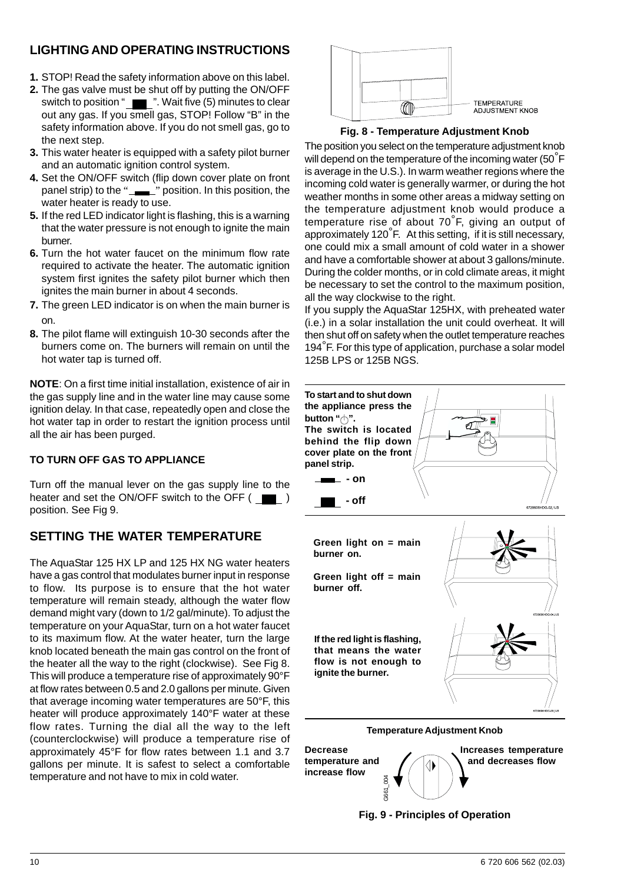## **LIGHTING AND OPERATING INSTRUCTIONS**

- **1.** STOP! Read the safety information above on this label.
- **2.** The gas valve must be shut off by putting the ON/OFF switch to position " **The maturity** ". Wait five (5) minutes to clear out any gas. If you smell gas, STOP! Follow "B" in the safety information above. If you do not smell gas, go to the next step.
- **3.** This water heater is equipped with a safety pilot burner and an automatic ignition control system.
- **4.** Set the ON/OFF switch (flip down cover plate on front panel strip) to the "
<u></u> vosition. In this position, the water heater is ready to use.
- **5.** If the red LED indicator light is flashing, this is a warning that the water pressure is not enough to ignite the main burner.
- **6.** Turn the hot water faucet on the minimum flow rate required to activate the heater. The automatic ignition system first ignites the safety pilot burner which then ignites the main burner in about 4 seconds.
- **7.** The green LED indicator is on when the main burner is on.
- **8.** The pilot flame will extinguish 10-30 seconds after the burners come on. The burners will remain on until the hot water tap is turned off.

**NOTE**: On a first time initial installation, existence of air in the gas supply line and in the water line may cause some ignition delay. In that case, repeatedly open and close the hot water tap in order to restart the ignition process until all the air has been purged.

### **TO TURN OFF GAS TO APPLIANCE**

Turn off the manual lever on the gas supply line to the heater and set the ON/OFF switch to the OFF  $($ position. See Fig 9.

## **SETTING THE WATER TEMPERATURE**

The AquaStar 125 HX LP and 125 HX NG water heaters have a gas control that modulates burner input in response to flow. Its purpose is to ensure that the hot water temperature will remain steady, although the water flow demand might vary (down to 1/2 gal/minute). To adjust the temperature on your AquaStar, turn on a hot water faucet to its maximum flow. At the water heater, turn the large knob located beneath the main gas control on the front of the heater all the way to the right (clockwise). See Fig 8. This will produce a temperature rise of approximately 90°F at flow rates between 0.5 and 2.0 gallons per minute. Given that average incoming water temperatures are 50°F, this heater will produce approximately 140°F water at these flow rates. Turning the dial all the way to the left (counterclockwise) will produce a temperature rise of approximately 45°F for flow rates between 1.1 and 3.7 gallons per minute. It is safest to select a comfortable temperature and not have to mix in cold water.





The position you select on the temperature adjustment knob will depend on the temperature of the incoming water (50<sup>°</sup>F is average in the U.S.). In warm weather regions where the incoming cold water is generally warmer, or during the hot weather months in some other areas a midway setting on the temperature adjustment knob would produce a temperature rise of about 70°F, giving an output of approximately 120°F. At this setting, if it is still necessary, one could mix a small amount of cold water in a shower and have a comfortable shower at about 3 gallons/minute. During the colder months, or in cold climate areas, it might be necessary to set the control to the maximum position, all the way clockwise to the right.

If you supply the AquaStar 125HX, with preheated water (i.e.) in a solar installation the unit could overheat. It will then shut off on safety when the outlet temperature reaches 194°F. For this type of application, purchase a solar model 125B LPS or 125B NGS.



**Fig. 9 - Principles of Operation**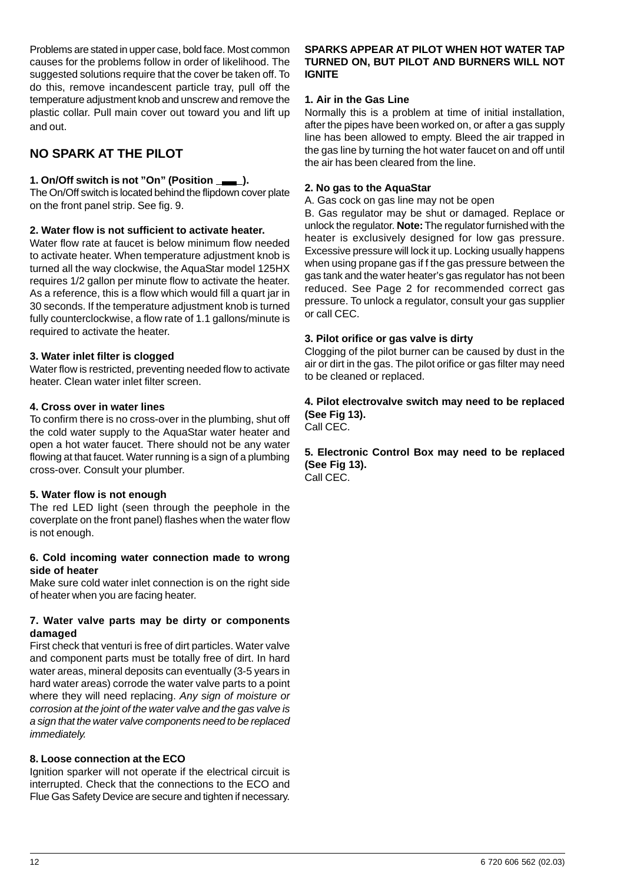Problems are stated in upper case, bold face. Most common causes for the problems follow in order of likelihood. The suggested solutions require that the cover be taken off. To do this, remove incandescent particle tray, pull off the temperature adjustment knob and unscrew and remove the plastic collar. Pull main cover out toward you and lift up and out.

## **NO SPARK AT THE PILOT**

### **1. On/Off switch is not "On" (Position \_\_\_\_).**

The On/Off switch is located behind the flipdown cover plate on the front panel strip. See fig. 9.

### **2. Water flow is not sufficient to activate heater.**

Water flow rate at faucet is below minimum flow needed to activate heater. When temperature adjustment knob is turned all the way clockwise, the AquaStar model 125HX requires 1/2 gallon per minute flow to activate the heater. As a reference, this is a flow which would fill a quart jar in 30 seconds. If the temperature adjustment knob is turned fully counterclockwise, a flow rate of 1.1 gallons/minute is required to activate the heater.

### **3. Water inlet filter is clogged**

Water flow is restricted, preventing needed flow to activate heater. Clean water inlet filter screen.

### **4. Cross over in water lines**

To confirm there is no cross-over in the plumbing, shut off the cold water supply to the AquaStar water heater and open a hot water faucet. There should not be any water flowing at that faucet. Water running is a sign of a plumbing cross-over. Consult your plumber.

### **5. Water flow is not enough**

The red LED light (seen through the peephole in the coverplate on the front panel) flashes when the water flow is not enough.

#### **6. Cold incoming water connection made to wrong side of heater**

Make sure cold water inlet connection is on the right side of heater when you are facing heater.

### **7. Water valve parts may be dirty or components damaged**

First check that venturi is free of dirt particles. Water valve and component parts must be totally free of dirt. In hard water areas, mineral deposits can eventually (3-5 years in hard water areas) corrode the water valve parts to a point where they will need replacing. *Any sign of moisture or corrosion at the joint of the water valve and the gas valve is a sign that the water valve components need to be replaced immediately.*

### **8. Loose connection at the ECO**

Ignition sparker will not operate if the electrical circuit is interrupted. Check that the connections to the ECO and Flue Gas Safety Device are secure and tighten if necessary.

### **SPARKS APPEAR AT PILOT WHEN HOT WATER TAP TURNED ON, BUT PILOT AND BURNERS WILL NOT IGNITE**

### **1. Air in the Gas Line**

Normally this is a problem at time of initial installation, after the pipes have been worked on, or after a gas supply line has been allowed to empty. Bleed the air trapped in the gas line by turning the hot water faucet on and off until the air has been cleared from the line.

#### **2. No gas to the AquaStar**

A. Gas cock on gas line may not be open

B. Gas regulator may be shut or damaged. Replace or unlock the regulator. **Note:** The regulator furnished with the heater is exclusively designed for low gas pressure. Excessive pressure will lock it up. Locking usually happens when using propane gas if f the gas pressure between the gas tank and the water heater's gas regulator has not been reduced. See Page 2 for recommended correct gas pressure. To unlock a regulator, consult your gas supplier or call CEC.

#### **3. Pilot orifice or gas valve is dirty**

Clogging of the pilot burner can be caused by dust in the air or dirt in the gas. The pilot orifice or gas filter may need to be cleaned or replaced.

**4. Pilot electrovalve switch may need to be replaced (See Fig 13).** Call CEC.

## **5. Electronic Control Box may need to be replaced (See Fig 13).**

Call CEC.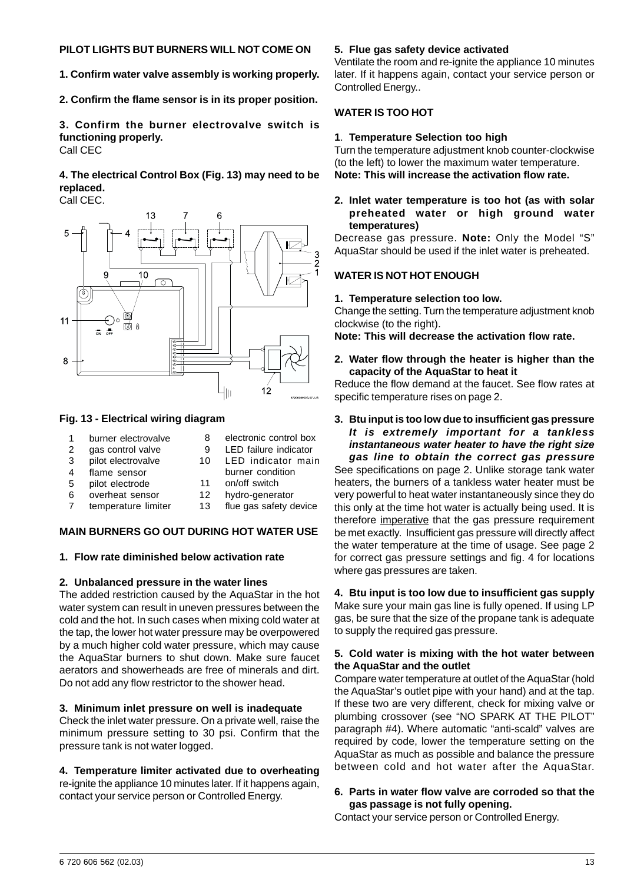#### **PILOT LIGHTS BUT BURNERS WILL NOT COME ON**

**1. Confirm water valve assembly is working properly.**

**2. Confirm the flame sensor is in its proper position.**

**3. Confirm the burner electrovalve switch is functioning properly.** Call CEC

**4. The electrical Control Box (Fig. 13) may need to be replaced.**

Call CEC.



#### **Fig. 13 - Electrical wiring diagram**

- 1 burner electrovalve
- 2 gas control valve
- 3 pilot electrovalve
- 4 flame sensor
- 5 pilot electrode
- 6 overheat sensor
- 7 temperature limiter
- 9 LED failure indicator 10 LED indicator main
	- burner condition

8 electronic control box

- 11 on/off switch
- 12 hydro-generator
- 13 flue gas safety device

### **MAIN BURNERS GO OUT DURING HOT WATER USE**

#### **1. Flow rate diminished below activation rate**

#### **2. Unbalanced pressure in the water lines**

The added restriction caused by the AquaStar in the hot water system can result in uneven pressures between the cold and the hot. In such cases when mixing cold water at the tap, the lower hot water pressure may be overpowered by a much higher cold water pressure, which may cause the AquaStar burners to shut down. Make sure faucet aerators and showerheads are free of minerals and dirt. Do not add any flow restrictor to the shower head.

#### **3. Minimum inlet pressure on well is inadequate**

Check the inlet water pressure. On a private well, raise the minimum pressure setting to 30 psi. Confirm that the pressure tank is not water logged.

### **4. Temperature limiter activated due to overheating**

re-ignite the appliance 10 minutes later. If it happens again, contact your service person or Controlled Energy.

#### **5. Flue gas safety device activated**

Ventilate the room and re-ignite the appliance 10 minutes later. If it happens again, contact your service person or Controlled Energy..

#### **WATER IS TOO HOT**

#### **1**. **Temperature Selection too high**

Turn the temperature adjustment knob counter-clockwise (to the left) to lower the maximum water temperature. **Note: This will increase the activation flow rate.**

#### **2. Inlet water temperature is too hot (as with solar preheated water or high ground water temperatures)**

Decrease gas pressure. **Note:** Only the Model "S" AquaStar should be used if the inlet water is preheated.

#### **WATER IS NOT HOT ENOUGH**

#### **1. Temperature selection too low.**

Change the setting. Turn the temperature adjustment knob clockwise (to the right).

**Note: This will decrease the activation flow rate.**

#### **2. Water flow through the heater is higher than the capacity of the AquaStar to heat it**

Reduce the flow demand at the faucet. See flow rates at specific temperature rises on page 2.

#### **3. Btu input is too low due to insufficient gas pressure** *It is extremely important for a tankless instantaneous water heater to have the right size gas line to obtain the correct gas pressure*

See specifications on page 2. Unlike storage tank water heaters, the burners of a tankless water heater must be very powerful to heat water instantaneously since they do this only at the time hot water is actually being used. It is therefore imperative that the gas pressure requirement be met exactly. Insufficient gas pressure will directly affect the water temperature at the time of usage. See page 2 for correct gas pressure settings and fig. 4 for locations where gas pressures are taken.

### **4. Btu input is too low due to insufficient gas supply**

Make sure your main gas line is fully opened. If using LP gas, be sure that the size of the propane tank is adequate to supply the required gas pressure.

#### **5. Cold water is mixing with the hot water between the AquaStar and the outlet**

Compare water temperature at outlet of the AquaStar (hold the AquaStar's outlet pipe with your hand) and at the tap. If these two are very different, check for mixing valve or plumbing crossover (see "NO SPARK AT THE PILOT" paragraph #4). Where automatic "anti-scald" valves are required by code, lower the temperature setting on the AquaStar as much as possible and balance the pressure between cold and hot water after the AquaStar.

### **6. Parts in water flow valve are corroded so that the gas passage is not fully opening.**

Contact your service person or Controlled Energy.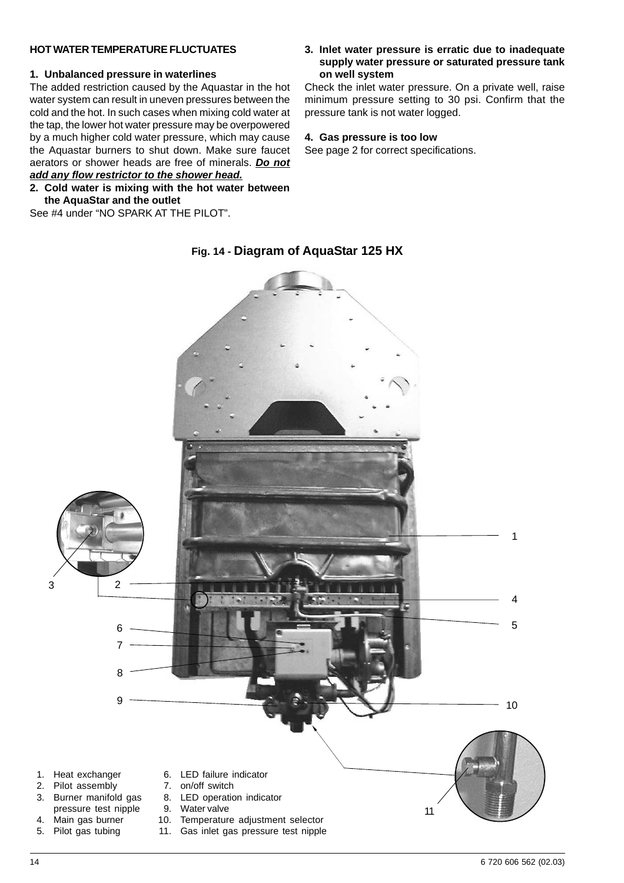#### **HOT WATER TEMPERATURE FLUCTUATES**

#### **1. Unbalanced pressure in waterlines**

The added restriction caused by the Aquastar in the hot water system can result in uneven pressures between the cold and the hot. In such cases when mixing cold water at the tap, the lower hot water pressure may be overpowered by a much higher cold water pressure, which may cause the Aquastar burners to shut down. Make sure faucet aerators or shower heads are free of minerals. *Do not*

### *add any flow restrictor to the shower head.*

#### **2. Cold water is mixing with the hot water between the AquaStar and the outlet**

See #4 under "NO SPARK AT THE PILOT".

#### **3. Inlet water pressure is erratic due to inadequate supply water pressure or saturated pressure tank on well system**

Check the inlet water pressure. On a private well, raise minimum pressure setting to 30 psi. Confirm that the pressure tank is not water logged.

#### **4. Gas pressure is too low**

See page 2 for correct specifications.



### **Fig. 14 - Diagram of AquaStar 125 HX**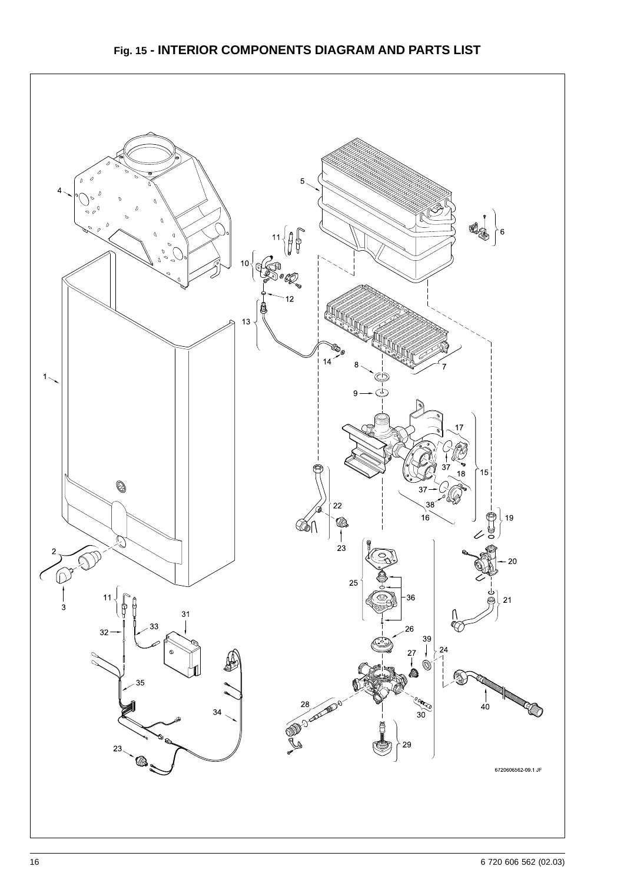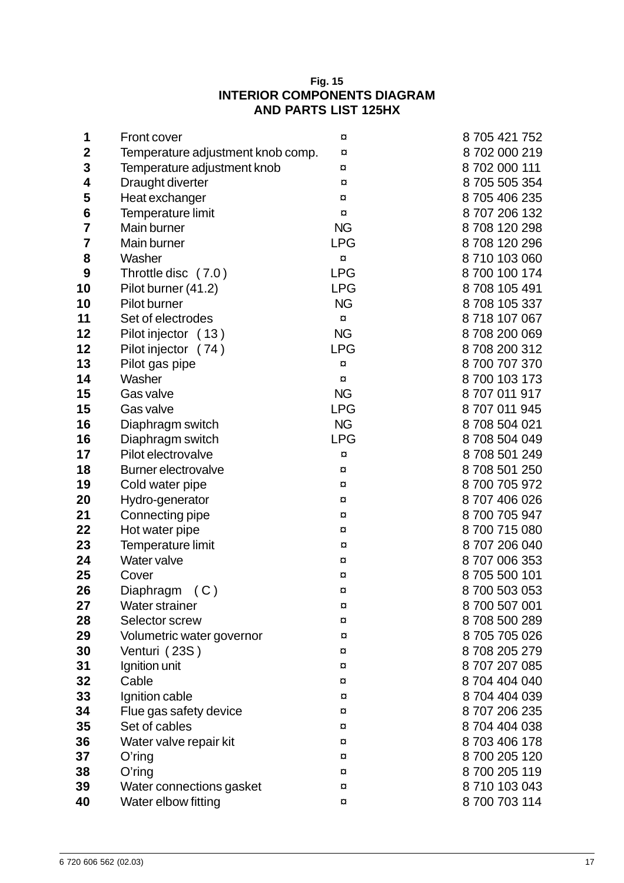### **Fig. 15 INTERIOR COMPONENTS DIAGRAM AND PARTS LIST 125HX**

| 1                       | <b>Front cover</b>                | ¤                       | 8705421752    |
|-------------------------|-----------------------------------|-------------------------|---------------|
| $\mathbf 2$             | Temperature adjustment knob comp. | $\alpha$                | 8702 000 219  |
| 3                       | Temperature adjustment knob       | $\alpha$                | 8 702 000 111 |
| 4                       | Draught diverter                  | ¤                       | 8 705 505 354 |
| 5                       | Heat exchanger                    | ¤                       | 8705406235    |
| 6                       | Temperature limit                 | ¤                       | 8707206132    |
| $\overline{\mathbf{7}}$ | Main burner                       | <b>NG</b>               | 8708120298    |
| $\overline{\mathbf{7}}$ | Main burner                       | <b>LPG</b>              | 8708120296    |
| 8                       | Washer                            | $\alpha$                | 8710 103 060  |
| 9                       | Throttle disc (7.0)               | <b>LPG</b>              | 8 700 100 174 |
| 10                      | Pilot burner (41.2)               | <b>LPG</b>              | 8708105491    |
| 10                      | Pilot burner                      | <b>NG</b>               | 8708 105 337  |
| 11                      | Set of electrodes                 | $\overline{\mathbf{u}}$ | 8718 107 067  |
| 12                      | Pilot injector (13)               | <b>NG</b>               | 8708200069    |
| 12                      | Pilot injector (74)               | <b>LPG</b>              | 8708200312    |
| 13                      | Pilot gas pipe                    | ¤                       | 8700707370    |
| 14                      | Washer                            | $\overline{a}$          | 8700 103 173  |
| 15                      | Gas valve                         | <b>NG</b>               | 8707011917    |
| 15                      | Gas valve                         | <b>LPG</b>              | 8707011945    |
| 16                      | Diaphragm switch                  | <b>NG</b>               | 8708504021    |
| 16                      | Diaphragm switch                  | <b>LPG</b>              | 8708504049    |
| 17                      | Pilot electrovalve                | ¤                       | 8708501249    |
| 18                      | <b>Burner electrovalve</b>        | ¤                       | 8708 501 250  |
| 19                      | Cold water pipe                   | $\alpha$                | 8700705972    |
| 20                      | Hydro-generator                   | $\alpha$                | 8707406026    |
| 21                      | Connecting pipe                   | ¤                       | 8700705947    |
| 22                      | Hot water pipe                    | ¤                       | 8700715080    |
| 23                      | Temperature limit                 | $\alpha$                | 8707206040    |
| 24                      | Water valve                       | $\alpha$                | 8707006353    |
| 25                      | Cover                             | ¤                       | 8705500101    |
| 26                      | Diaphragm<br>(C)                  | $\alpha$                | 8700 503 053  |
| 27                      | <b>Water strainer</b>             | ¤                       | 8700 507 001  |
| 28                      | Selector screw                    | ¤                       | 8708500289    |
| 29                      | Volumetric water governor         | ¤                       | 8705705026    |
| 30                      | Venturi (23S)                     | ¤                       | 8708205279    |
| 31                      | Ignition unit                     | ¤                       | 8707207085    |
| 32                      | Cable                             | ¤                       | 8704 404 040  |
| 33                      | Ignition cable                    | ¤                       | 8704404039    |
| 34                      | Flue gas safety device            | ¤                       | 8707206235    |
| 35                      | Set of cables                     | ¤                       | 8704 404 038  |
| 36                      | Water valve repair kit            | ¤                       | 8703406178    |
| 37                      | $O$ 'ring                         | ¤                       | 8700 205 120  |
| 38                      | $O'$ ring                         | ¤                       | 8700 205 119  |
| 39                      | Water connections gasket          | ¤                       | 8710 103 043  |
| 40                      | Water elbow fitting               | ¤                       | 8 700 703 114 |